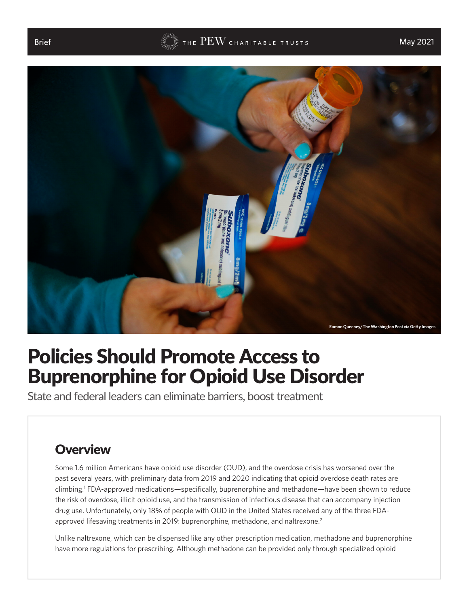<span id="page-0-0"></span>



# Policies Should Promote Access to Buprenorphine for Opioid Use Disorder

State and federal leaders can eliminate barriers, boost treatment

#### **Overview**

Some 1.6 million Americans have opioid use disorder (OUD), and the overdose crisis has worsened over the past several years, with preliminary data from 2019 and 2020 indicating that opioid overdose death rates are climbing.[1](#page-7-0) FDA-approved medications—specifically, buprenorphine and methadone—have been shown to reduce the risk of overdose, illicit opioid use, and the transmission of infectious disease that can accompany injection drug use. Unfortunately, only 18% of people with OUD in the United States received any of the three FDA-approved lifesaving treatments in [2](#page-7-0)019: buprenorphine, methadone, and naltrexone.<sup>2</sup>

Unlike naltrexone, which can be dispensed like any other prescription medication, methadone and buprenorphine have more regulations for prescribing. Although methadone can be provided only through specialized opioid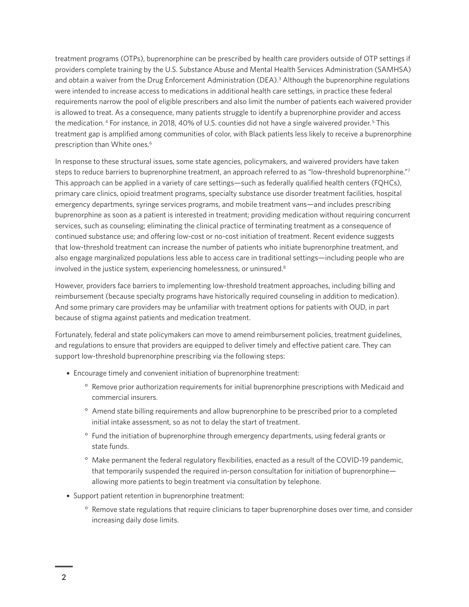<span id="page-1-0"></span>treatment programs (OTPs), buprenorphine can be prescribed by health care providers outside of OTP settings if providers complete training by the U.S. Substance Abuse and Mental Health Services Administration (SAMHSA) and obtain a waiver from the Drug Enforcement Administration (DEA).<sup>[3](#page-7-0)</sup> Although the buprenorphine regulations were intended to increase access to medications in additional health care settings, in practice these federal requirements narrow the pool of eligible prescribers and also limit the number of patients each waivered provider is allowed to treat. As a consequence, many patients struggle to identify a buprenorphine provider and access the medication. <sup>[4](#page-7-0)</sup> For instance, in 2018, 40% of U.S. counties did not have a single waivered provider. <sup>[5](#page-7-0)</sup> This treatment gap is amplified among communities of color, with Black patients less likely to receive a buprenorphine prescription than White ones.<sup>6</sup>

In response to these structural issues, some state agencies, policymakers, and waivered providers have taken steps to reduce barriers to buprenorphine treatment, an approach referred to as "low-threshold buprenorphine."[7](#page-7-0) This approach can be applied in a variety of care settings—such as federally qualified health centers (FQHCs), primary care clinics, opioid treatment programs, specialty substance use disorder treatment facilities, hospital emergency departments, syringe services programs, and mobile treatment vans—and includes prescribing buprenorphine as soon as a patient is interested in treatment; providing medication without requiring concurrent services, such as counseling; eliminating the clinical practice of terminating treatment as a consequence of continued substance use; and offering low-cost or no-cost initiation of treatment. Recent evidence suggests that low-threshold treatment can increase the number of patients who initiate buprenorphine treatment, and also engage marginalized populations less able to access care in traditional settings—including people who are involved in the justice system, experiencing homelessness, or uninsured.[8](#page-7-0)

However, providers face barriers to implementing low-threshold treatment approaches, including billing and reimbursement (because specialty programs have historically required counseling in addition to medication). And some primary care providers may be unfamiliar with treatment options for patients with OUD, in part because of stigma against patients and medication treatment.

Fortunately, federal and state policymakers can move to amend reimbursement policies, treatment guidelines, and regulations to ensure that providers are equipped to deliver timely and effective patient care. They can support low-threshold buprenorphine prescribing via the following steps:

- Encourage timely and convenient initiation of buprenorphine treatment:
	- ° Remove prior authorization requirements for initial buprenorphine prescriptions with Medicaid and commercial insurers.
	- ° Amend state billing requirements and allow buprenorphine to be prescribed prior to a completed initial intake assessment, so as not to delay the start of treatment.
	- ° Fund the initiation of buprenorphine through emergency departments, using federal grants or state funds.
	- ° Make permanent the federal regulatory flexibilities, enacted as a result of the COVID-19 pandemic, that temporarily suspended the required in-person consultation for initiation of buprenorphine allowing more patients to begin treatment via consultation by telephone.
- Support patient retention in buprenorphine treatment:
	- ° Remove state regulations that require clinicians to taper buprenorphine doses over time, and consider increasing daily dose limits.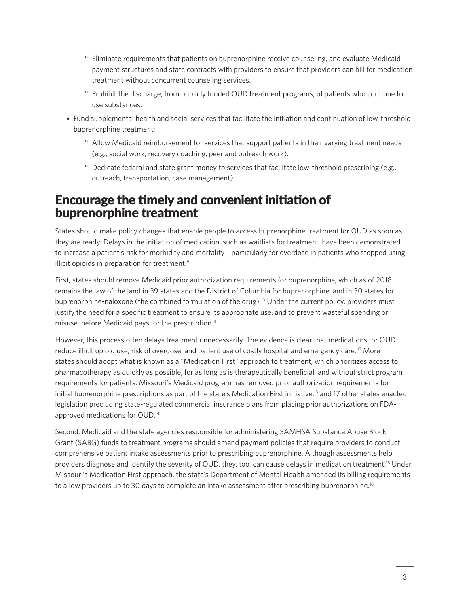- <span id="page-2-0"></span>° Eliminate requirements that patients on buprenorphine receive counseling, and evaluate Medicaid payment structures and state contracts with providers to ensure that providers can bill for medication treatment without concurrent counseling services.
- ° Prohibit the discharge, from publicly funded OUD treatment programs, of patients who continue to use substances.
- Fund supplemental health and social services that facilitate the initiation and continuation of low-threshold buprenorphine treatment:
	- ° Allow Medicaid reimbursement for services that support patients in their varying treatment needs (e.g., social work, recovery coaching, peer and outreach work).
	- ° Dedicate federal and state grant money to services that facilitate low-threshold prescribing (e.g., outreach, transportation, case management).

#### Encourage the timely and convenient initiation of buprenorphine treatment

States should make policy changes that enable people to access buprenorphine treatment for OUD as soon as they are ready. Delays in the initiation of medication, such as waitlists for treatment, have been demonstrated to increase a patient's risk for morbidity and mortality—particularly for overdose in patients who stopped using illicit opioids in preparation for treatment.<sup>[9](#page-7-0)</sup>

First, states should remove Medicaid prior authorization requirements for buprenorphine, which as of 2018 remains the law of the land in 39 states and the District of Columbia for buprenorphine, and in 30 states for buprenorphine-naloxone (the combined formulation of the drug).[10](#page-7-0) Under the current policy, providers must justify the need for a specific treatment to ensure its appropriate use, and to prevent wasteful spending or misuse, before Medicaid pays for the prescription.<sup>[11](#page-7-0)</sup>

However, this process often delays treatment unnecessarily. The evidence is clear that medications for OUD reduce illicit opioid use, risk of overdose, and patient use of costly hospital and emergency care.<sup>12</sup> More states should adopt what is known as a "Medication First" approach to treatment, which prioritizes access to pharmacotherapy as quickly as possible, for as long as is therapeutically beneficial, and without strict program requirements for patients. Missouri's Medicaid program has removed prior authorization requirements for initial buprenorphine prescriptions as part of the state's Medication First initiative,<sup>13</sup> and 17 other states enacted legislation precluding state-regulated commercial insurance plans from placing prior authorizations on FDAapproved medications for OUD.[14](#page-8-0)

Second, Medicaid and the state agencies responsible for administering SAMHSA Substance Abuse Block Grant (SABG) funds to treatment programs should amend payment policies that require providers to conduct comprehensive patient intake assessments prior to prescribing buprenorphine. Although assessments help providers diagnose and identify the severity of OUD, they, too, can cause delays in medication treatment.<sup>15</sup> Under Missouri's Medication First approach, the state's Department of Mental Health amended its billing requirements to allow providers up to 30 days to complete an intake assessment after prescribing buprenorphine.<sup>[16](#page-8-0)</sup>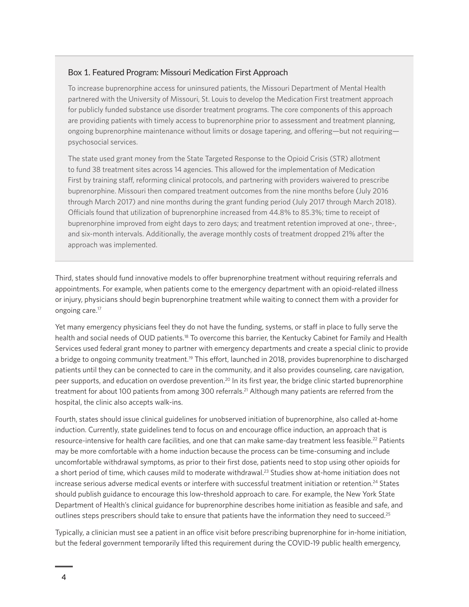#### <span id="page-3-0"></span>Box 1. Featured Program: Missouri Medication First Approach

To increase buprenorphine access for uninsured patients, the Missouri Department of Mental Health partnered with the University of Missouri, St. Louis to develop the Medication First treatment approach for publicly funded substance use disorder treatment programs. The core components of this approach are providing patients with timely access to buprenorphine prior to assessment and treatment planning, ongoing buprenorphine maintenance without limits or dosage tapering, and offering—but not requiring psychosocial services.

The state used grant money from the State Targeted Response to the Opioid Crisis (STR) allotment to fund 38 treatment sites across 14 agencies. This allowed for the implementation of Medication First by training staff, reforming clinical protocols, and partnering with providers waivered to prescribe buprenorphine. Missouri then compared treatment outcomes from the nine months before (July 2016 through March 2017) and nine months during the grant funding period (July 2017 through March 2018). Officials found that utilization of buprenorphine increased from 44.8% to 85.3%; time to receipt of buprenorphine improved from eight days to zero days; and treatment retention improved at one-, three-, and six-month intervals. Additionally, the average monthly costs of treatment dropped 21% after the approach was implemented.

Third, states should fund innovative models to offer buprenorphine treatment without requiring referrals and appointments. For example, when patients come to the emergency department with an opioid-related illness or injury, physicians should begin buprenorphine treatment while waiting to connect them with a provider for ongoing care[.17](#page-8-0)

Yet many emergency physicians feel they do not have the funding, systems, or staff in place to fully serve the health and social needs of OUD patients.[18](#page-8-0) To overcome this barrier, the Kentucky Cabinet for Family and Health Services used federal grant money to partner with emergency departments and create a special clinic to provide a bridge to ongoing community treatment.<sup>19</sup> This effort, launched in 2018, provides buprenorphine to discharged patients until they can be connected to care in the community, and it also provides counseling, care navigation, peer supports, and education on overdose prevention.<sup>20</sup> In its first year, the bridge clinic started buprenorphine treatment for about 100 patients from among 300 referrals.<sup>21</sup> Although many patients are referred from the hospital, the clinic also accepts walk-ins.

Fourth, states should issue clinical guidelines for unobserved initiation of buprenorphine, also called at-home induction. Currently, state guidelines tend to focus on and encourage office induction, an approach that is resource-intensive for health care facilities, and one that can make same-day treatment less feasible.[22](#page-8-0) Patients may be more comfortable with a home induction because the process can be time-consuming and include uncomfortable withdrawal symptoms, as prior to their first dose, patients need to stop using other opioids for a short period of time, which causes mild to moderate withdrawal.<sup>23</sup> Studies show at-home initiation does not increase serious adverse medical events or interfere with successful treatment initiation or retention.<sup>[24](#page-8-0)</sup> States should publish guidance to encourage this low-threshold approach to care. For example, the New York State Department of Health's clinical guidance for buprenorphine describes home initiation as feasible and safe, and outlines steps prescribers should take to ensure that patients have the information they need to succeed.<sup>25</sup>

Typically, a clinician must see a patient in an office visit before prescribing buprenorphine for in-home initiation, but the federal government temporarily lifted this requirement during the COVID-19 public health emergency,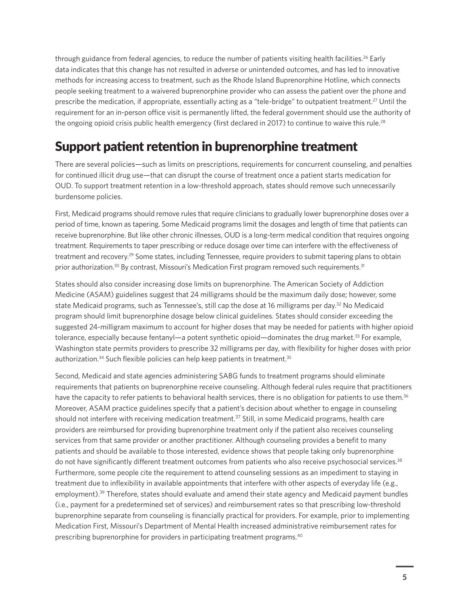<span id="page-4-0"></span>through guidance from federal agencies, to reduce the number of patients visiting health facilities.<sup>26</sup> Early data indicates that this change has not resulted in adverse or unintended outcomes, and has led to innovative methods for increasing access to treatment, such as the Rhode Island Buprenorphine Hotline, which connects people seeking treatment to a waivered buprenorphine provider who can assess the patient over the phone and prescribe the medication, if appropriate, essentially acting as a "tele-bridge" to outpatient treatment.[27](#page-8-0) Until the requirement for an in-person office visit is permanently lifted, the federal government should use the authority of the ongoing opioid crisis public health emergency (first declared in 2017) to continue to waive this rule.<sup>[28](#page-8-0)</sup>

### Support patient retention in buprenorphine treatment

There are several policies—such as limits on prescriptions, requirements for concurrent counseling, and penalties for continued illicit drug use—that can disrupt the course of treatment once a patient starts medication for OUD. To support treatment retention in a low-threshold approach, states should remove such unnecessarily burdensome policies.

First, Medicaid programs should remove rules that require clinicians to gradually lower buprenorphine doses over a period of time, known as tapering. Some Medicaid programs limit the dosages and length of time that patients can receive buprenorphine. But like other chronic illnesses, OUD is a long-term medical condition that requires ongoing treatment. Requirements to taper prescribing or reduce dosage over time can interfere with the effectiveness of treatment and recovery[.29](#page-8-0) Some states, including Tennessee, require providers to submit tapering plans to obtain prior authorization.<sup>30</sup> By contrast, Missouri's Medication First program removed such requirements.<sup>31</sup>

States should also consider increasing dose limits on buprenorphine. The American Society of Addiction Medicine (ASAM) guidelines suggest that 24 milligrams should be the maximum daily dose; however, some state Medicaid programs, such as Tennessee's, still cap the dose at 16 milligrams per day.<sup>32</sup> No Medicaid program should limit buprenorphine dosage below clinical guidelines. States should consider exceeding the suggested 24-milligram maximum to account for higher doses that may be needed for patients with higher opioid tolerance, especially because fentanyl—a potent synthetic opioid—dominates the drug market.<sup>33</sup> For example, Washington state permits providers to prescribe 32 milligrams per day, with flexibility for higher doses with prior authorization.<sup>34</sup> Such flexible policies can help keep patients in treatment.<sup>35</sup>

Second, Medicaid and state agencies administering SABG funds to treatment programs should eliminate requirements that patients on buprenorphine receive counseling. Although federal rules require that practitioners have the capacity to refer patients to behavioral health services, there is no obligation for patients to use them.<sup>36</sup> Moreover, ASAM practice guidelines specify that a patient's decision about whether to engage in counseling should not interfere with receiving medication treatment.<sup>37</sup> Still, in some Medicaid programs, health care providers are reimbursed for providing buprenorphine treatment only if the patient also receives counseling services from that same provider or another practitioner. Although counseling provides a benefit to many patients and should be available to those interested, evidence shows that people taking only buprenorphine do not have significantly different treatment outcomes from patients who also receive psychosocial services.<sup>[38](#page-9-0)</sup> Furthermore, some people cite the requirement to attend counseling sessions as an impediment to staying in treatment due to inflexibility in available appointments that interfere with other aspects of everyday life (e.g., employment).<sup>39</sup> Therefore, states should evaluate and amend their state agency and Medicaid payment bundles (i.e., payment for a predetermined set of services) and reimbursement rates so that prescribing low-threshold buprenorphine separate from counseling is financially practical for providers. For example, prior to implementing Medication First, Missouri's Department of Mental Health increased administrative reimbursement rates for prescribing buprenorphine for providers in participating treatment programs[.40](#page-9-0)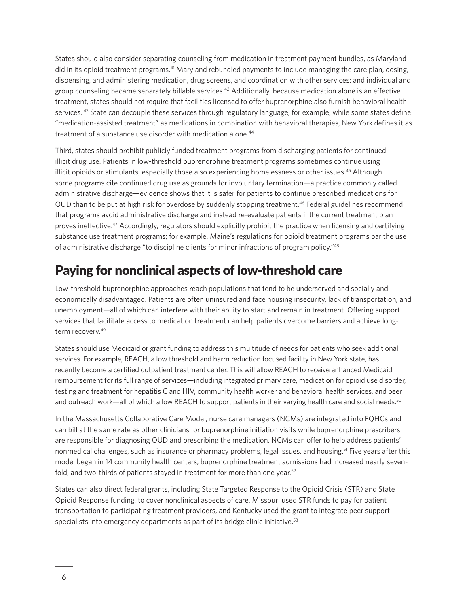<span id="page-5-0"></span>States should also consider separating counseling from medication in treatment payment bundles, as Maryland did in its opioid treatment programs.[41](#page-9-0) Maryland rebundled payments to include managing the care plan, dosing, dispensing, and administering medication, drug screens, and coordination with other services; and individual and group counseling became separately billable services[.42](#page-9-0) Additionally, because medication alone is an effective treatment, states should not require that facilities licensed to offer buprenorphine also furnish behavioral health services. <sup>43</sup> State can decouple these services through regulatory language; for example, while some states define "medication-assisted treatment" as medications in combination with behavioral therapies, New York defines it as treatment of a substance use disorder with medication alone.<sup>[44](#page-9-0)</sup>

Third, states should prohibit publicly funded treatment programs from discharging patients for continued illicit drug use. Patients in low-threshold buprenorphine treatment programs sometimes continue using illicit opioids or stimulants, especially those also experiencing homelessness or other issues.<sup>[45](#page-9-0)</sup> Although some programs cite continued drug use as grounds for involuntary termination—a practice commonly called administrative discharge—evidence shows that it is safer for patients to continue prescribed medications for OUD than to be put at high risk for overdose by suddenly stopping treatment.<sup>46</sup> Federal guidelines recommend that programs avoid administrative discharge and instead re-evaluate patients if the current treatment plan proves ineffective.[47](#page-9-0) Accordingly, regulators should explicitly prohibit the practice when licensing and certifying substance use treatment programs; for example, Maine's regulations for opioid treatment programs bar the use of administrative discharge "to discipline clients for minor infractions of program policy.["48](#page-9-0) 

### Paying for nonclinical aspects of low-threshold care

Low-threshold buprenorphine approaches reach populations that tend to be underserved and socially and economically disadvantaged. Patients are often uninsured and face housing insecurity, lack of transportation, and unemployment—all of which can interfere with their ability to start and remain in treatment. Offering support services that facilitate access to medication treatment can help patients overcome barriers and achieve longterm recovery[.49](#page-9-0)

States should use Medicaid or grant funding to address this multitude of needs for patients who seek additional services. For example, REACH, a low threshold and harm reduction focused facility in New York state, has recently become a certified outpatient treatment center. This will allow REACH to receive enhanced Medicaid reimbursement for its full range of services—including integrated primary care, medication for opioid use disorder, testing and treatment for hepatitis C and HIV, community health worker and behavioral health services, and peer and outreach work—all of which allow REACH to support patients in their varying health care and social needs.<sup>[50](#page-9-0)</sup>

In the Massachusetts Collaborative Care Model, nurse care managers (NCMs) are integrated into FQHCs and can bill at the same rate as other clinicians for buprenorphine initiation visits while buprenorphine prescribers are responsible for diagnosing OUD and prescribing the medication. NCMs can offer to help address patients' nonmedical challenges, such as insurance or pharmacy problems, legal issues, and housing.<sup>51</sup> Five years after this model began in 14 community health centers, buprenorphine treatment admissions had increased nearly sevenfold, and two-thirds of patients stayed in treatment for more than one year.<sup>52</sup>

States can also direct federal grants, including State Targeted Response to the Opioid Crisis (STR) and State Opioid Response funding, to cover nonclinical aspects of care. Missouri used STR funds to pay for patient transportation to participating treatment providers, and Kentucky used the grant to integrate peer support specialists into emergency departments as part of its bridge clinic initiative.<sup>53</sup>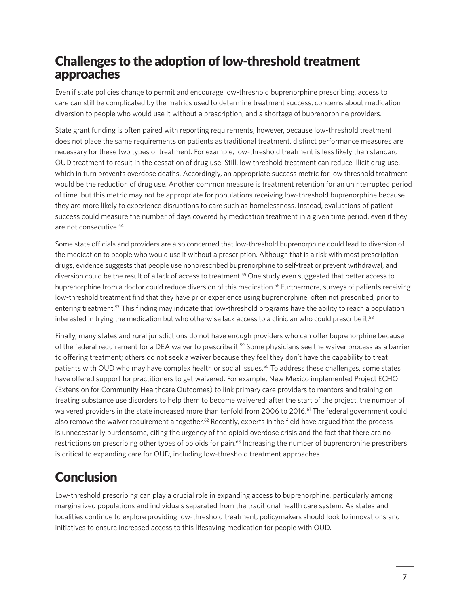## <span id="page-6-0"></span>Challenges to the adoption of low-threshold treatment approaches

Even if state policies change to permit and encourage low-threshold buprenorphine prescribing, access to care can still be complicated by the metrics used to determine treatment success, concerns about medication diversion to people who would use it without a prescription, and a shortage of buprenorphine providers.

State grant funding is often paired with reporting requirements; however, because low-threshold treatment does not place the same requirements on patients as traditional treatment, distinct performance measures are necessary for these two types of treatment. For example, low-threshold treatment is less likely than standard OUD treatment to result in the cessation of drug use. Still, low threshold treatment can reduce illicit drug use, which in turn prevents overdose deaths. Accordingly, an appropriate success metric for low threshold treatment would be the reduction of drug use. Another common measure is treatment retention for an uninterrupted period of time, but this metric may not be appropriate for populations receiving low-threshold buprenorphine because they are more likely to experience disruptions to care such as homelessness. Instead, evaluations of patient success could measure the number of days covered by medication treatment in a given time period, even if they are not consecutive.[54](#page-10-0)

Some state officials and providers are also concerned that low-threshold buprenorphine could lead to diversion of the medication to people who would use it without a prescription. Although that is a risk with most prescription drugs, evidence suggests that people use nonprescribed buprenorphine to self-treat or prevent withdrawal, and diversion could be the result of a lack of access to treatment.<sup>55</sup> One study even suggested that better access to buprenorphine from a doctor could reduce diversion of this medication.<sup>56</sup> Furthermore, surveys of patients receiving low-threshold treatment find that they have prior experience using buprenorphine, often not prescribed, prior to entering treatment.<sup>57</sup> This finding may indicate that low-threshold programs have the ability to reach a population interested in trying the medication but who otherwise lack access to a clinician who could prescribe it[.58](#page-10-0)

Finally, many states and rural jurisdictions do not have enough providers who can offer buprenorphine because of the federal requirement for a DEA waiver to prescribe it[.59](#page-10-0) Some physicians see the waiver process as a barrier to offering treatment; others do not seek a waiver because they feel they don't have the capability to treat patients with OUD who may have complex health or social issues.<sup>60</sup> To address these challenges, some states have offered support for practitioners to get waivered. For example, New Mexico implemented Project ECHO (Extension for Community Healthcare Outcomes) to link primary care providers to mentors and training on treating substance use disorders to help them to become waivered; after the start of the project, the number of waivered providers in the state increased more than tenfold from 2006 to 2016.<sup>61</sup> The federal government could also remove the waiver requirement altogether.<sup>62</sup> Recently, experts in the field have argued that the process is unnecessarily burdensome, citing the urgency of the opioid overdose crisis and the fact that there are no restrictions on prescribing other types of opioids for pain.<sup>63</sup> Increasing the number of buprenorphine prescribers is critical to expanding care for OUD, including low-threshold treatment approaches.

# **Conclusion**

Low-threshold prescribing can play a crucial role in expanding access to buprenorphine, particularly among marginalized populations and individuals separated from the traditional health care system. As states and localities continue to explore providing low-threshold treatment, policymakers should look to innovations and initiatives to ensure increased access to this lifesaving medication for people with OUD.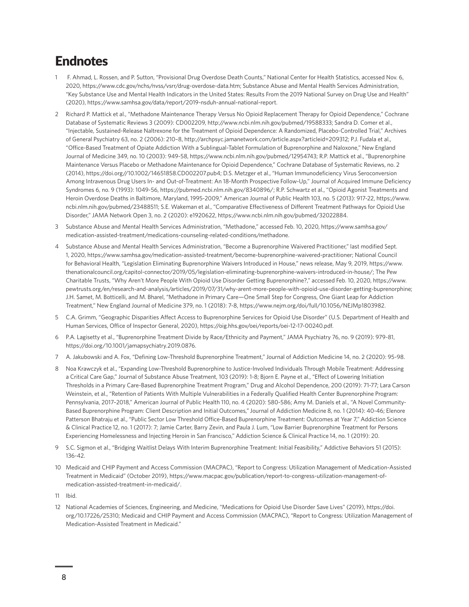# <span id="page-7-0"></span>Endnotes

- 1 [F](#page-0-0). Ahmad, L. Rossen, and P. Sutton, "Provisional Drug Overdose Death Counts," National Center for Health Statistics, accessed Nov. 6, 2020, <https://www.cdc.gov/nchs/nvss/vsrr/drug-overdose-data.htm>; Substance Abuse and Mental Health Services Administration, "Key Substance Use and Mental Health Indicators in the United States: Results From the 2019 National Survey on Drug Use and Health" (2020), [https://www.samhsa.gov/data/report/2019-nsduh-annual-national-report.](https://www.samhsa.gov/data/report/2019-nsduh-annual-national-report)
- 2 [Ri](#page-0-0)chard P. Mattick et al., "Methadone Maintenance Therapy Versus No Opioid Replacement Therapy for Opioid Dependence," Cochrane Database of Systematic Reviews 3 (2009): CD002209,<http://www.ncbi.nlm.nih.gov/pubmed/19588333>; Sandra D. Comer et al., "Injectable, Sustained-Release Naltrexone for the Treatment of Opioid Dependence: A Randomized, Placebo-Controlled Trial," Archives of General Psychiatry 63, no. 2 (2006): 210–8, <http://archpsyc.jamanetwork.com/article.aspx?articleid=209312>; P.J. Fudala et al., "Office-Based Treatment of Opiate Addiction With a Sublingual-Tablet Formulation of Buprenorphine and Naloxone," New England Journal of Medicine 349, no. 10 (2003): 949-58,<https://www.ncbi.nlm.nih.gov/pubmed/12954743>; R.P. Mattick et al., "Buprenorphine Maintenance Versus Placebo or Methadone Maintenance for Opioid Dependence," Cochrane Database of Systematic Reviews, no. 2 (2014), [https://doi.org//10.1002/14651858.CD002207.pub4;](https://doi.org//10.1002/14651858.CD002207.pub4) D.S. Metzger et al., "Human Immunodeficiency Virus Seroconversion Among Intravenous Drug Users In- and Out-of-Treatment: An 18-Month Prospective Follow-Up," Journal of Acquired Immune Deficiency Syndromes 6, no. 9 (1993): 1049-56,<https://pubmed.ncbi.nlm.nih.gov/8340896/>; R.P. Schwartz et al., "Opioid Agonist Treatments and Heroin Overdose Deaths in Baltimore, Maryland, 1995-2009," American Journal of Public Health 103, no. 5 (2013): 917-22, [https://www.](https://www.ncbi.nlm.nih.gov/pubmed/23488511) [ncbi.nlm.nih.gov/pubmed/23488511](https://www.ncbi.nlm.nih.gov/pubmed/23488511); S.E. Wakeman et al., "Comparative Effectiveness of Different Treatment Pathways for Opioid Use Disorder," JAMA Network Open 3, no. 2 (2020): e1920622, [https://www.ncbi.nlm.nih.gov/pubmed/32022884.](https://www.ncbi.nlm.nih.gov/pubmed/32022884)
- 3 [S](#page-1-0)ubstance Abuse and Mental Health Services Administration, "Methadone," accessed Feb. 10, 2020, [https://www.samhsa.gov/](https://www.samhsa.gov/medication-assisted-treatment/medications-counseling-related-conditions/methadone) [medication-assisted-treatment/medications-counseling-related-conditions/methadone](https://www.samhsa.gov/medication-assisted-treatment/medications-counseling-related-conditions/methadone).
- 4 [S](#page-1-0)ubstance Abuse and Mental Health Services Administration, "Become a Buprenorphine Waivered Practitioner," last modified Sept. 1, 2020, [https://www.samhsa.gov/medication-assisted-treatment/become-buprenorphine-waivered-practitioner;](https://www.samhsa.gov/medication-assisted-treatment/become-buprenorphine-waivered-practitioner) National Council for Behavioral Health, "Legislation Eliminating Buprenorphine Waivers Introduced in House," news release, May 9, 2019, [https://www.](https://www.thenationalcouncil.org/capitol-connector/2019/05/legislation-eliminating-buprenorphine-waivers-introduced-in-house/) [thenationalcouncil.org/capitol-connector/2019/05/legislation-eliminating-buprenorphine-waivers-introduced-in-house/;](https://www.thenationalcouncil.org/capitol-connector/2019/05/legislation-eliminating-buprenorphine-waivers-introduced-in-house/) The Pew Charitable Trusts, "Why Aren't More People With Opioid Use Disorder Getting Buprenorphine?," accessed Feb. 10, 2020, [https://www.](https://www.pewtrusts.org/en/research-and-analysis/articles/2019/07/31/why-arent-more-people-with-opioid-use-disorder-getting-buprenorphine) [pewtrusts.org/en/research-and-analysis/articles/2019/07/31/why-arent-more-people-with-opioid-use-disorder-getting-buprenorphine;](https://www.pewtrusts.org/en/research-and-analysis/articles/2019/07/31/why-arent-more-people-with-opioid-use-disorder-getting-buprenorphine) J.H. Samet, M. Botticelli, and M. Bharel, "Methadone in Primary Care—One Small Step for Congress, One Giant Leap for Addiction Treatment," New England Journal of Medicine 379, no. 1 (2018): 7-8,<https://www.nejm.org/doi/full/10.1056/NEJMp1803982>.
- 5 [C](#page-1-0).A. Grimm, "Geographic Disparities Affect Access to Buprenorphine Services for Opioid Use Disorder" (U.S. Department of Health and Human Services, Office of Inspector General, 2020), [https://oig.hhs.gov/oei/reports/oei-12-17-00240.pdf.](https://oig.hhs.gov/oei/reports/oei-12-17-00240.pdf)
- 6 [P.](#page-1-0)A. Lagisetty et al., "Buprenorphine Treatment Divide by Race/Ethnicity and Payment," JAMA Psychiatry 76, no. 9 (2019): 979-81, [https://doi.org/10.1001/jamapsychiatry.2019.0876.](https://doi.org/10.1001/jamapsychiatry.2019.0876)
- 7 [A.](#page-1-0) Jakubowski and A. Fox, "Defining Low-Threshold Buprenorphine Treatment," Journal of Addiction Medicine 14, no. 2 (2020): 95-98.
- 8 [No](#page-1-0)a Krawczyk et al., "Expanding Low-Threshold Buprenorphine to Justice-Involved Individuals Through Mobile Treatment: Addressing a Critical Care Gap," Journal of Substance Abuse Treatment, 103 (2019): 1-8; Bjorn E. Payne et al., "Effect of Lowering Initiation Thresholds in a Primary Care-Based Buprenorphine Treatment Program," Drug and Alcohol Dependence, 200 (2019): 71-77; Lara Carson Weinstein, et al., "Retention of Patients With Multiple Vulnerabilities in a Federally Qualified Health Center Buprenorphine Program: Pennsylvania, 2017–2018," American Journal of Public Health 110, no. 4 (2020): 580-586; Amy M. Daniels et al., "A Novel Community-Based Buprenorphine Program: Client Description and Initial Outcomes," Journal of Addiction Medicine 8, no. 1 (2014): 40-46; Elenore Patterson Bhatraju et al., "Public Sector Low Threshold Office-Based Buprenorphine Treatment: Outcomes at Year 7," Addiction Science & Clinical Practice 12, no. 1 (2017): 7; Jamie Carter, Barry Zevin, and Paula J. Lum, "Low Barrier Buprenorphine Treatment for Persons Experiencing Homelessness and Injecting Heroin in San Francisco," Addiction Science & Clinical Practice 14, no. 1 (2019): 20.
- 9 [S](#page-2-0).C. Sigmon et al., "Bridging Waitlist Delays With Interim Buprenorphine Treatment: Initial Feasibility," Addictive Behaviors 51 (2015): 136-42.
- 10 [M](#page-2-0)edicaid and CHIP Payment and Access Commission (MACPAC), "Report to Congress: Utilization Management of Medication-Assisted Treatment in Medicaid" (October 2019), [https://www.macpac.gov/publication/report-to-congress-utilization-management-of](https://www.macpac.gov/publication/report-to-congress-utilization-management-of-medication-assisted-treatment-in-medicaid/)[medication-assisted-treatment-in-medicaid/](https://www.macpac.gov/publication/report-to-congress-utilization-management-of-medication-assisted-treatment-in-medicaid/).
- 11 [I](#page-2-0)bid.
- 12 [Na](#page-2-0)tional Academies of Sciences, Engineering, and Medicine, "Medications for Opioid Use Disorder Save Lives" (2019), [https://doi.](https://doi.org/10.17226/25310) [org/10.17226/25310;](https://doi.org/10.17226/25310) Medicaid and CHIP Payment and Access Commission (MACPAC), "Report to Congress: Utilization Management of Medication-Assisted Treatment in Medicaid."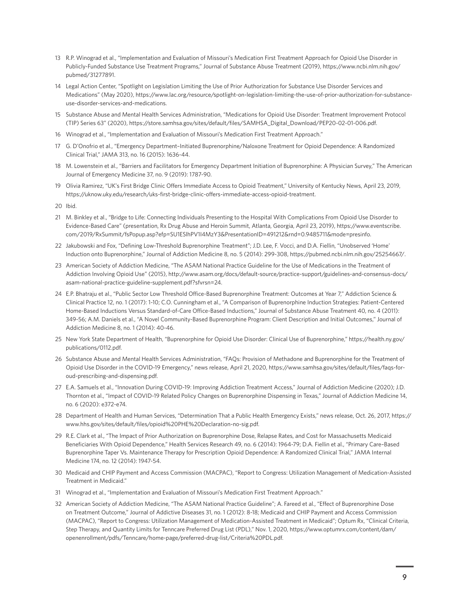- <span id="page-8-0"></span>13 [R.](#page-2-0)P. Winograd et al., "Implementation and Evaluation of Missouri's Medication First Treatment Approach for Opioid Use Disorder in Publicly-Funded Substance Use Treatment Programs," Journal of Substance Abuse Treatment (2019), [https://www.ncbi.nlm.nih.gov/](https://www.ncbi.nlm.nih.gov/pubmed/31277891) [pubmed/31277891](https://www.ncbi.nlm.nih.gov/pubmed/31277891).
- 14 [Le](#page-2-0)gal Action Center, "Spotlight on Legislation Limiting the Use of Prior Authorization for Substance Use Disorder Services and Medications" (May 2020), [https://www.lac.org/resource/spotlight-on-legislation-limiting-the-use-of-prior-authorization-for-substance](https://www.lac.org/resource/spotlight-on-legislation-limiting-the-use-of-prior-authorization-for-substance-use-disorder-services-and-medications)[use-disorder-services-and-medications](https://www.lac.org/resource/spotlight-on-legislation-limiting-the-use-of-prior-authorization-for-substance-use-disorder-services-and-medications).
- 15 [S](#page-2-0)ubstance Abuse and Mental Health Services Administration, "Medications for Opioid Use Disorder: Treatment Improvement Protocol (TIP) Series 63" (2020), [https://store.samhsa.gov/sites/default/files/SAMHSA\\_Digital\\_Download/PEP20-02-01-006.pdf.](https://store.samhsa.gov/sites/default/files/SAMHSA_Digital_Download/PEP20-02-01-006.pdf)
- 16 [W](#page-2-0)inograd et al., "Implementation and Evaluation of Missouri's Medication First Treatment Approach."
- 17 [G.](#page-3-0) D'Onofrio et al., "Emergency Department–Initiated Buprenorphine/Naloxone Treatment for Opioid Dependence: A Randomized Clinical Trial," JAMA 313, no. 16 (2015): 1636-44.
- 18 [M](#page-3-0). Lowenstein et al., "Barriers and Facilitators for Emergency Department Initiation of Buprenorphine: A Physician Survey," The American Journal of Emergency Medicine 37, no. 9 (2019): 1787-90.
- 19 [Ol](#page-3-0)ivia Ramirez, "UK's First Bridge Clinic Offers Immediate Access to Opioid Treatment," University of Kentucky News, April 23, 2019, [https://uknow.uky.edu/research/uks-first-bridge-clinic-offers-immediate-access-opioid-treatment.](https://uknow.uky.edu/research/uks-first-bridge-clinic-offers-immediate-access-opioid-treatment)
- 20 [I](#page-3-0)bid.
- 21 [M](#page-3-0). Binkley et al., "Bridge to Life: Connecting Individuals Presenting to the Hospital With Complications From Opioid Use Disorder to Evidence-Based Care" (presentation, Rx Drug Abuse and Heroin Summit, Atlanta, Georgia, April 23, 2019), [https://www.eventscribe.](https://www.eventscribe.com/2019/RxSummit/fsPopup.asp?efp=SU1ESlhPV1I4MzY3&PresentationID=491212&rnd=0.9485711&mode=presinfo) [com/2019/RxSummit/fsPopup.asp?efp=SU1ESlhPV1I4MzY3&PresentationID=491212&rnd=0.9485711&mode=presinfo](https://www.eventscribe.com/2019/RxSummit/fsPopup.asp?efp=SU1ESlhPV1I4MzY3&PresentationID=491212&rnd=0.9485711&mode=presinfo).
- 22 [Ja](#page-3-0)kubowski and Fox, "Defining Low-Threshold Buprenorphine Treatment"; J.D. Lee, F. Vocci, and D.A. Fiellin, "Unobserved 'Home' Induction onto Buprenorphine," Journal of Addiction Medicine 8, no. 5 (2014): 299-308, <https://pubmed.ncbi.nlm.nih.gov/25254667/>.
- 23 [Am](#page-3-0)erican Society of Addiction Medicine, "The ASAM National Practice Guideline for the Use of Medications in the Treatment of Addiction Involving Opioid Use" (2015), [http://www.asam.org/docs/default-source/practice-support/guidelines-and-consensus-docs/](http://www.asam.org/docs/default-source/practice-support/guidelines-and-consensus-docs/asam-national-practice-guideline-supplement.pdf?sfvrsn=24) [asam-national-practice-guideline-supplement.pdf?sfvrsn=24.](http://www.asam.org/docs/default-source/practice-support/guidelines-and-consensus-docs/asam-national-practice-guideline-supplement.pdf?sfvrsn=24)
- 24 [E](#page-3-0).P. Bhatraju et al., "Public Sector Low Threshold Office-Based Buprenorphine Treatment: Outcomes at Year 7," Addiction Science & Clinical Practice 12, no. 1 (2017): 1-10; C.O. Cunningham et al., "A Comparison of Buprenorphine Induction Strategies: Patient-Centered Home-Based Inductions Versus Standard-of-Care Office-Based Inductions," Journal of Substance Abuse Treatment 40, no. 4 (2011): 349-56; A.M. Daniels et al., "A Novel Community-Based Buprenorphine Program: Client Description and Initial Outcomes," Journal of Addiction Medicine 8, no. 1 (2014): 40-46.
- 25 [Ne](#page-3-0)w York State Department of Health, "Buprenorphine for Opioid Use Disorder: Clinical Use of Buprenorphine," [https://health.ny.gov/](https://health.ny.gov/publications/0112.pdf) [publications/0112.pdf.](https://health.ny.gov/publications/0112.pdf)
- 26 [S](#page-4-0)ubstance Abuse and Mental Health Services Administration, "FAQs: Provision of Methadone and Buprenorphine for the Treatment of Opioid Use Disorder in the COVID-19 Emergency," news release, April 21, 2020, [https://www.samhsa.gov/sites/default/files/faqs-for](https://www.samhsa.gov/sites/default/files/faqs-for-oud-prescribing-and-dispensing.pdf)[oud-prescribing-and-dispensing.pdf.](https://www.samhsa.gov/sites/default/files/faqs-for-oud-prescribing-and-dispensing.pdf)
- 27 [E](#page-4-0).A. Samuels et al., "Innovation During COVID-19: Improving Addiction Treatment Access," Journal of Addiction Medicine (2020); J.D. Thornton et al., "Impact of COVID-19 Related Policy Changes on Buprenorphine Dispensing in Texas," Journal of Addiction Medicine 14, no. 6 (2020): e372-e74.
- 28 [De](#page-4-0)partment of Health and Human Services, "Determination That a Public Health Emergency Exists," news release, Oct. 26, 2017, [https://](https://www.hhs.gov/sites/default/files/opioid%20PHE%20Declaration-no-sig.pdf) [www.hhs.gov/sites/default/files/opioid%20PHE%20Declaration-no-sig.pdf](https://www.hhs.gov/sites/default/files/opioid%20PHE%20Declaration-no-sig.pdf).
- 29 [R.](#page-4-0)E. Clark et al., "The Impact of Prior Authorization on Buprenorphine Dose, Relapse Rates, and Cost for Massachusetts Medicaid Beneficiaries With Opioid Dependence," Health Services Research 49, no. 6 (2014): 1964-79; D.A. Fiellin et al., "Primary Care–Based Buprenorphine Taper Vs. Maintenance Therapy for Prescription Opioid Dependence: A Randomized Clinical Trial," JAMA Internal Medicine 174, no. 12 (2014): 1947-54.
- 30 [M](#page-4-0)edicaid and CHIP Payment and Access Commission (MACPAC), "Report to Congress: Utilization Management of Medication-Assisted Treatment in Medicaid."
- 31 [W](#page-4-0)inograd et al., "Implementation and Evaluation of Missouri's Medication First Treatment Approach."
- 32 [Am](#page-4-0)erican Society of Addiction Medicine, "The ASAM National Practice Guideline"; A. Fareed et al., "Effect of Buprenorphine Dose on Treatment Outcome," Journal of Addictive Diseases 31, no. 1 (2012): 8-18; Medicaid and CHIP Payment and Access Commission (MACPAC), "Report to Congress: Utilization Management of Medication-Assisted Treatment in Medicaid"; Optum Rx, "Clinical Criteria, Step Therapy, and Quantity Limits for Tenncare Preferred Drug List (PDL)," Nov. 1, 2020, [https://www.optumrx.com/content/dam/](https://www.optumrx.com/content/dam/openenrollment/pdfs/Tenncare/home-page/preferred-drug-list/Criteria%20PDL.pdf) [openenrollment/pdfs/Tenncare/home-page/preferred-drug-list/Criteria%20PDL.pdf.](https://www.optumrx.com/content/dam/openenrollment/pdfs/Tenncare/home-page/preferred-drug-list/Criteria%20PDL.pdf)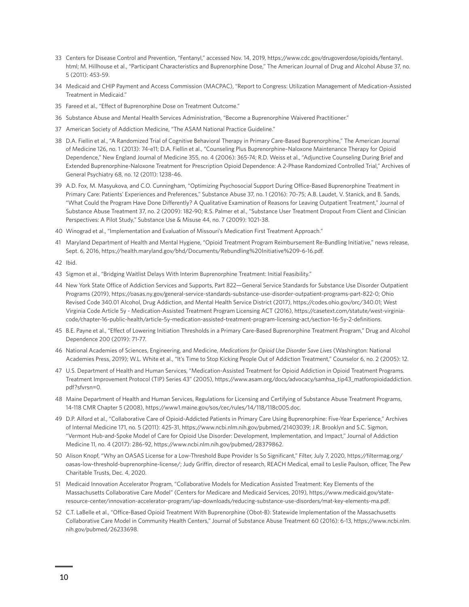- <span id="page-9-0"></span>33 [C](#page-4-0)enters for Disease Control and Prevention, "Fentanyl," accessed Nov. 14, 2019, [https://www.cdc.gov/drugoverdose/opioids/fentanyl.](https://www.cdc.gov/drugoverdose/opioids/fentanyl.html) [html](https://www.cdc.gov/drugoverdose/opioids/fentanyl.html); M. Hillhouse et al., "Participant Characteristics and Buprenorphine Dose," The American Journal of Drug and Alcohol Abuse 37, no. 5 (2011): 453-59.
- 34 [M](#page-4-0)edicaid and CHIP Payment and Access Commission (MACPAC), "Report to Congress: Utilization Management of Medication-Assisted Treatment in Medicaid."
- 35 [F](#page-4-0)areed et al., "Effect of Buprenorphine Dose on Treatment Outcome."
- 36 [S](#page-4-0)ubstance Abuse and Mental Health Services Administration, "Become a Buprenorphine Waivered Practitioner."
- 37 [Am](#page-4-0)erican Society of Addiction Medicine, "The ASAM National Practice Guideline."
- 38 [D](#page-4-0).A. Fiellin et al., "A Randomized Trial of Cognitive Behavioral Therapy in Primary Care-Based Buprenorphine," The American Journal of Medicine 126, no. 1 (2013): 74-e11; D.A. Fiellin et al., "Counseling Plus Buprenorphine–Naloxone Maintenance Therapy for Opioid Dependence," New England Journal of Medicine 355, no. 4 (2006): 365-74; R.D. Weiss et al., "Adjunctive Counseling During Brief and Extended Buprenorphine-Naloxone Treatment for Prescription Opioid Dependence: A 2-Phase Randomized Controlled Trial," Archives of General Psychiatry 68, no. 12 (2011): 1238-46.
- 39 [A.](#page-4-0)D. Fox, M. Masyukova, and C.O. Cunningham, "Optimizing Psychosocial Support During Office-Based Buprenorphine Treatment in Primary Care: Patients' Experiences and Preferences," Substance Abuse 37, no. 1 (2016): 70-75; A.B. Laudet, V. Stanick, and B. Sands, "What Could the Program Have Done Differently? A Qualitative Examination of Reasons for Leaving Outpatient Treatment," Journal of Substance Abuse Treatment 37, no. 2 (2009): 182-90; R.S. Palmer et al., "Substance User Treatment Dropout From Client and Clinician Perspectives: A Pilot Study," Substance Use & Misuse 44, no. 7 (2009): 1021-38.
- 40 [W](#page-4-0)inograd et al., "Implementation and Evaluation of Missouri's Medication First Treatment Approach."
- 41 [M](#page-5-0)aryland Department of Health and Mental Hygiene, "Opioid Treatment Program Reimbursement Re-Bundling Initiative," news release, Sept. 6, 2016, <https://health.maryland.gov/bhd/Documents/Rebundling%20Initiative%209-6-16.pdf>.
- 42 [I](#page-5-0)bid.
- 43 [S](#page-5-0)igmon et al., "Bridging Waitlist Delays With Interim Buprenorphine Treatment: Initial Feasibility."
- 44 [Ne](#page-5-0)w York State Office of Addiction Services and Supports, Part 822—General Service Standards for Substance Use Disorder Outpatient Programs (2019), <https://oasas.ny.gov/general-service-standards-substance-use-disorder-outpatient-programs-part-822-0>; Ohio Revised Code 340.01 Alcohol, Drug Addiction, and Mental Health Service District (2017), <https://codes.ohio.gov/orc/340.01>; West Virginia Code Article 5y - Medication-Assisted Treatment Program Licensing ACT (2016), [https://casetext.com/statute/west-virginia](https://casetext.com/statute/west-virginia-code/chapter-16-public-health/article-5y-medication-assisted-treatment-program-licensing-act/section-16-5y-2-definitions)[code/chapter-16-public-health/article-5y-medication-assisted-treatment-program-licensing-act/section-16-5y-2-definitions](https://casetext.com/statute/west-virginia-code/chapter-16-public-health/article-5y-medication-assisted-treatment-program-licensing-act/section-16-5y-2-definitions).
- 45 [B](#page-5-0).E. Payne et al., "Effect of Lowering Initiation Thresholds in a Primary Care-Based Buprenorphine Treatment Program," Drug and Alcohol Dependence 200 (2019): 71-77.
- 46 [Na](#page-5-0)tional Academies of Sciences, Engineering, and Medicine, *Medications for Opioid Use Disorder Save Lives* (Washington: National Academies Press, 2019); W.L. White et al., "It's Time to Stop Kicking People Out of Addiction Treatment," Counselor 6, no. 2 (2005): 12.
- 47 [U](#page-5-0).S. Department of Health and Human Services, "Medication-Assisted Treatment for Opioid Addiction in Opioid Treatment Programs. Treatment Improvement Protocol (TIP) Series 43" (2005), [https://www.asam.org/docs/advocacy/samhsa\\_tip43\\_matforopioidaddiction.](https://www.asam.org/docs/advocacy/samhsa_tip43_matforopioidaddiction.pdf?sfvrsn=0) [pdf?sfvrsn=0.](https://www.asam.org/docs/advocacy/samhsa_tip43_matforopioidaddiction.pdf?sfvrsn=0)
- 48 [M](#page-5-0)aine Department of Health and Human Services, Regulations for Licensing and Certifying of Substance Abuse Treatment Programs, 14-118 CMR Chapter 5 (2008), [https://www1.maine.gov/sos/cec/rules/14/118/118c005.doc.](https://www1.maine.gov/sos/cec/rules/14/118/118c005.doc)
- 49 [D](#page-5-0).P. Alford et al., "Collaborative Care of Opioid-Addicted Patients in Primary Care Using Buprenorphine: Five-Year Experience," Archives of Internal Medicine 171, no. 5 (2011): 425-31, <https://www.ncbi.nlm.nih.gov/pubmed/21403039>; J.R. Brooklyn and S.C. Sigmon, "Vermont Hub-and-Spoke Model of Care for Opioid Use Disorder: Development, Implementation, and Impact," Journal of Addiction Medicine 11, no. 4 (2017): 286-92,<https://www.ncbi.nlm.nih.gov/pubmed/28379862>.
- 50 [Al](#page-5-0)ison Knopf, "Why an OASAS License for a Low-Threshold Bupe Provider Is So Significant," Filter, July 7, 2020, [https://filtermag.org/](https://filtermag.org/oasas-low-threshold-buprenorphine-license/) [oasas-low-threshold-buprenorphine-license/;](https://filtermag.org/oasas-low-threshold-buprenorphine-license/) Judy Griffin, director of research, REACH Medical, email to Leslie Paulson, officer, The Pew Charitable Trusts, Dec. 4, 2020.
- 51 [M](#page-5-0)edicaid Innovation Accelerator Program, "Collaborative Models for Medication Assisted Treatment: Key Elements of the Massachusetts Collaborative Care Model" (Centers for Medicare and Medicaid Services, 2019), [https://www.medicaid.gov/state](https://www.medicaid.gov/state-resource-center/innovation-accelerator-program/iap-downloads/reducing-substance-use-disorders/mat-key-elements-ma.pdf)[resource-center/innovation-accelerator-program/iap-downloads/reducing-substance-use-disorders/mat-key-elements-ma.pdf](https://www.medicaid.gov/state-resource-center/innovation-accelerator-program/iap-downloads/reducing-substance-use-disorders/mat-key-elements-ma.pdf).
- 52 [C](#page-5-0).T. LaBelle et al., "Office-Based Opioid Treatment With Buprenorphine (Obot-B): Statewide Implementation of the Massachusetts Collaborative Care Model in Community Health Centers," Journal of Substance Abuse Treatment 60 (2016): 6-13, [https://www.ncbi.nlm.](https://www.ncbi.nlm.nih.gov/pubmed/26233698) [nih.gov/pubmed/26233698](https://www.ncbi.nlm.nih.gov/pubmed/26233698).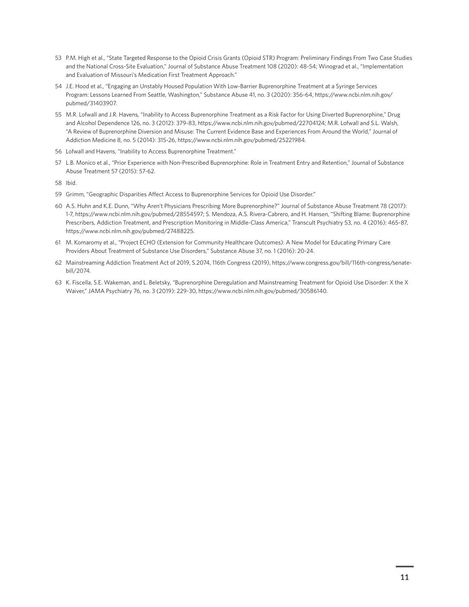- <span id="page-10-0"></span>53 [P.](#page-5-0)M. High et al., "State Targeted Response to the Opioid Crisis Grants (Opioid STR) Program: Preliminary Findings From Two Case Studies and the National Cross-Site Evaluation," Journal of Substance Abuse Treatment 108 (2020): 48-54; Winograd et al., "Implementation and Evaluation of Missouri's Medication First Treatment Approach."
- 54 [J.](#page-6-0)E. Hood et al., "Engaging an Unstably Housed Population With Low-Barrier Buprenorphine Treatment at a Syringe Services Program: Lessons Learned From Seattle, Washington," Substance Abuse 41, no. 3 (2020): 356-64, [https://www.ncbi.nlm.nih.gov/](https://www.ncbi.nlm.nih.gov/pubmed/31403907) [pubmed/31403907](https://www.ncbi.nlm.nih.gov/pubmed/31403907).
- 55 [M](#page-6-0).R. Lofwall and J.R. Havens, "Inability to Access Buprenorphine Treatment as a Risk Factor for Using Diverted Buprenorphine," Drug and Alcohol Dependence 126, no. 3 (2012): 379-83,<https://www.ncbi.nlm.nih.gov/pubmed/22704124>; M.R. Lofwall and S.L. Walsh, "A Review of Buprenorphine Diversion and Misuse: The Current Evidence Base and Experiences From Around the World," Journal of Addiction Medicine 8, no. 5 (2014): 315-26, [https://www.ncbi.nlm.nih.gov/pubmed/25221984.](https://www.ncbi.nlm.nih.gov/pubmed/25221984)
- 56 [Lo](#page-6-0)fwall and Havens, "Inability to Access Buprenorphine Treatment."
- 57 [L.](#page-6-0)B. Monico et al., "Prior Experience with Non-Prescribed Buprenorphine: Role in Treatment Entry and Retention," Journal of Substance Abuse Treatment 57 (2015): 57-62.
- 58 [I](#page-6-0)bid.
- 59 [Gr](#page-6-0)imm, "Geographic Disparities Affect Access to Buprenorphine Services for Opioid Use Disorder."
- 60 [A.](#page-6-0)S. Huhn and K.E. Dunn, "Why Aren't Physicians Prescribing More Buprenorphine?" Journal of Substance Abuse Treatment 78 (2017): 1-7,<https://www.ncbi.nlm.nih.gov/pubmed/28554597>; S. Mendoza, A.S. Rivera-Cabrero, and H. Hansen, "Shifting Blame: Buprenorphine Prescribers, Addiction Treatment, and Prescription Monitoring in Middle-Class America," Transcult Psychiatry 53, no. 4 (2016): 465-87, [https://www.ncbi.nlm.nih.gov/pubmed/27488225.](https://www.ncbi.nlm.nih.gov/pubmed/27488225)
- 61 [M](#page-6-0). Komaromy et al., "Project ECHO (Extension for Community Healthcare Outcomes): A New Model for Educating Primary Care Providers About Treatment of Substance Use Disorders," Substance Abuse 37, no. 1 (2016): 20-24.
- 62 [M](#page-6-0)ainstreaming Addiction Treatment Act of 2019, S.2074, 116th Congress (2019), [https://www.congress.gov/bill/116th-congress/senate](https://www.congress.gov/bill/116th-congress/senate-bill/2074)[bill/2074](https://www.congress.gov/bill/116th-congress/senate-bill/2074).
- 63 [K.](#page-6-0) Fiscella, S.E. Wakeman, and L. Beletsky, "Buprenorphine Deregulation and Mainstreaming Treatment for Opioid Use Disorder: X the X Waiver," JAMA Psychiatry 76, no. 3 (2019): 229-30,<https://www.ncbi.nlm.nih.gov/pubmed/30586140>.